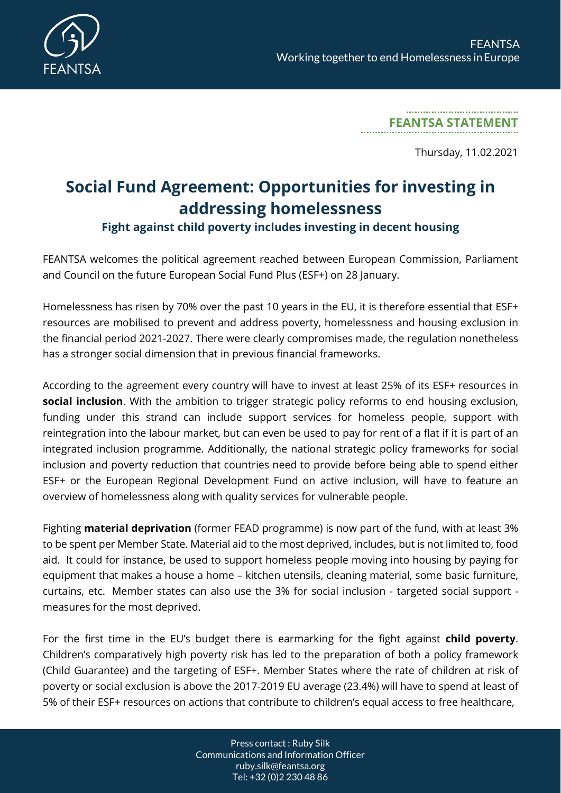

**FEANTSA STATEMENT**

Thursday, 11.02.2021

## **Social Fund Agreement: Opportunities for investing in addressing homelessness**

## **Fight against child poverty includes investing in decent housing**

FEANTSA welcomes the political agreement reached between European Commission, Parliament and Council on the future European Social Fund Plus (ESF+) on 28 January.

Homelessness has risen by 70% over the past 10 years in the EU, it is therefore essential that ESF+ resources are mobilised to prevent and address poverty, homelessness and housing exclusion in the financial period 2021-2027. There were clearly compromises made, the regulation nonetheless has a stronger social dimension that in previous financial frameworks.

According to the agreement every country will have to invest at least 25% of its ESF+ resources in **social inclusion**. With the ambition to trigger strategic policy reforms to end housing exclusion, funding under this strand can include support services for homeless people, support with reintegration into the labour market, but can even be used to pay for rent of a flat if it is part of an integrated inclusion programme. Additionally, the national strategic policy frameworks for social inclusion and poverty reduction that countries need to provide before being able to spend either ESF+ or the European Regional Development Fund on active inclusion, will have to feature an overview of homelessness along with quality services for vulnerable people.

Fighting **material deprivation** (former FEAD programme) is now part of the fund, with at least 3% to be spent per Member State. Material aid to the most deprived, includes, but is not limited to, food aid. It could for instance, be used to support homeless people moving into housing by paying for equipment that makes a house a home – kitchen utensils, cleaning material, some basic furniture, curtains, etc. Member states can also use the 3% for social inclusion - targeted social support measures for the most deprived.

For the first time in the EU's budget there is earmarking for the fight against **child poverty**. Children's comparatively high poverty risk has led to the preparation of both a policy framework (Child Guarantee) and the targeting of ESF+. Member States where the rate of children at risk of poverty or social exclusion is above the 2017-2019 EU average (23.4%) will have to spend at least of 5% of their ESF+ resources on actions that contribute to children's equal access to free healthcare,

> Press contact : Ruby Silk Communications and Information Officer ruby.silk@feantsa.org Tel: +32 (0)2 230 48 86